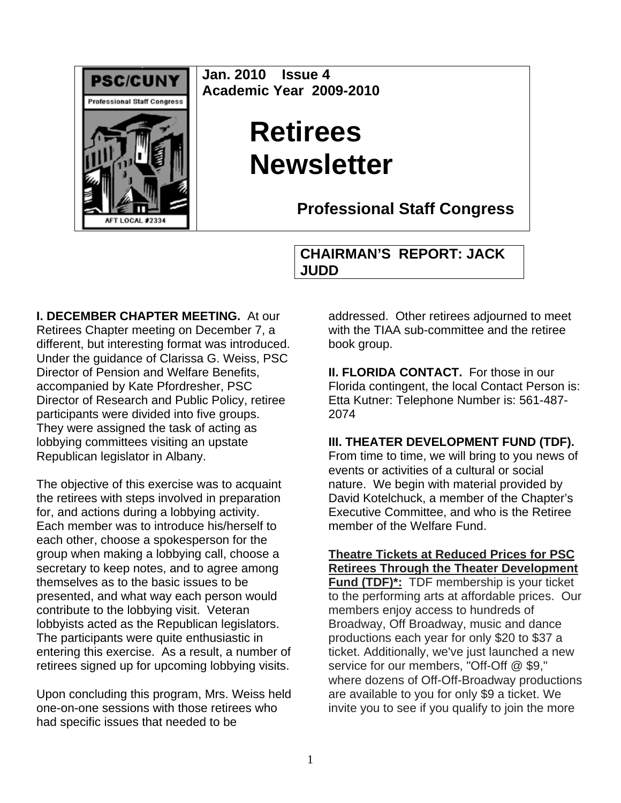

**Jan. 2010 Issue 4 Academic Year 2009-2010** 

# **Retirees Newsletter**

**Professional Staff Congress**

**CHAIRMAN'S REPORT: JACK JUDD**

**I. DECEMBER CHAPTER MEETING.** At our Retirees Chapter meeting on December 7, a different, but interesting format was introduced. Under the guidance of Clarissa G. Weiss, PSC Director of Pension and Welfare Benefits, accompanied by Kate Pfordresher, PSC Director of Research and Public Policy, retiree participants were divided into five groups. They were assigned the task of acting as lobbying committees visiting an upstate Republican legislator in Albany.

The objective of this exercise was to acquaint the retirees with steps involved in preparation for, and actions during a lobbying activity. Each member was to introduce his/herself to each other, choose a spokesperson for the group when making a lobbying call, choose a secretary to keep notes, and to agree among themselves as to the basic issues to be presented, and what way each person would contribute to the lobbying visit. Veteran lobbyists acted as the Republican legislators. The participants were quite enthusiastic in entering this exercise. As a result, a number of retirees signed up for upcoming lobbying visits.

Upon concluding this program, Mrs. Weiss held one-on-one sessions with those retirees who had specific issues that needed to be

addressed. Other retirees adjourned to meet with the TIAA sub-committee and the retiree book group.

**II. FLORIDA CONTACT.** For those in our Florida contingent, the local Contact Person is: Etta Kutner: Telephone Number is: 561-487- 2074

### **III. THEATER DEVELOPMENT FUND (TDF).**

From time to time, we will bring to you news of events or activities of a cultural or social nature. We begin with material provided by David Kotelchuck, a member of the Chapter's Executive Committee, and who is the Retiree member of the Welfare Fund.

**Theatre Tickets at Reduced Prices for PSC Retirees Through the Theater Development Fund (TDF)\*:** TDF membership is your ticket to the performing arts at affordable prices. Our members enjoy access to hundreds of Broadway, Off Broadway, music and dance productions each year for only \$20 to \$37 a ticket. Additionally, we've just launched a new service for our members, "Off-Off @ \$9," where dozens of Off-Off-Broadway productions are available to you for only \$9 a ticket. We invite you to see if you qualify to join the more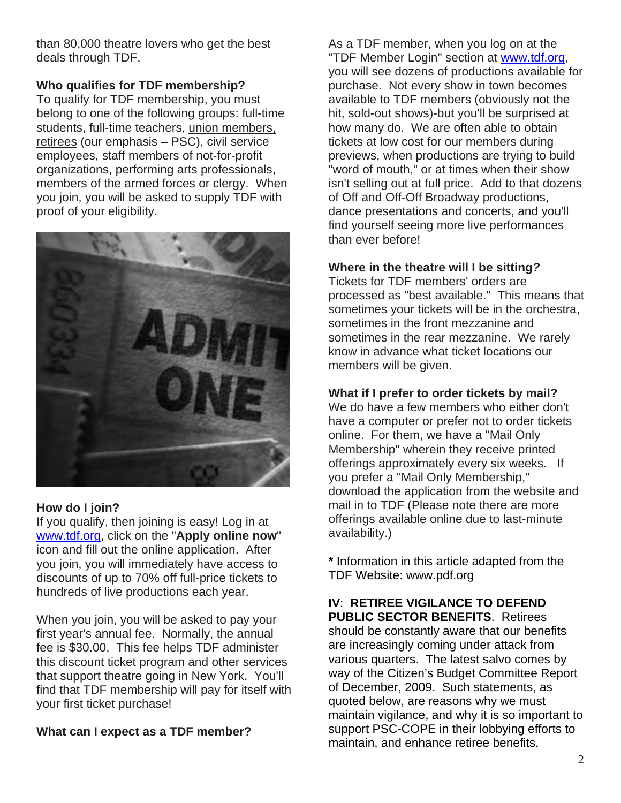than 80,000 theatre lovers who get the best deals through TDF.

## **Who qualifies for TDF membership?**

To qualify for TDF membership, you must belong to one of the following groups: full-time students, full-time teachers, union members, retirees (our emphasis – PSC), civil service employees, staff members of not-for-profit organizations, performing arts professionals, members of the armed forces or clergy. When you join, you will be asked to supply TDF with proof of your eligibility.



## **How do I join?**

If you qualify, then joining is easy! Log in at [www.tdf.org](http://www.tdf.org/), click on the "**Apply online now**" icon and fill out the online application. After you join, you will immediately have access to discounts of up to 70% off full-price tickets to hundreds of live productions each year.

When you join, you will be asked to pay your first year's annual fee. Normally, the annual fee is \$30.00. This fee helps TDF administer this discount ticket program and other services that support theatre going in New York. You'll find that TDF membership will pay for itself with your first ticket purchase!

# **What can I expect as a TDF member?**

As a TDF member, when you log on at the "TDF Member Login" section at [www.tdf.org](http://www.tdf.org/), you will see dozens of productions available for purchase. Not every show in town becomes available to TDF members (obviously not the hit, sold-out shows)-but you'll be surprised at how many do. We are often able to obtain tickets at low cost for our members during previews, when productions are trying to build "word of mouth," or at times when their show isn't selling out at full price. Add to that dozens of Off and Off-Off Broadway productions, dance presentations and concerts, and you'll find yourself seeing more live performances than ever before!

# **Where in the theatre will I be sitting***?*

Tickets for TDF members' orders are processed as "best available." This means that sometimes your tickets will be in the orchestra, sometimes in the front mezzanine and sometimes in the rear mezzanine. We rarely know in advance what ticket locations our members will be given.

## **What if I prefer to order tickets by mail?**

We do have a few members who either don't have a computer or prefer not to order tickets online. For them, we have a "Mail Only Membership" wherein they receive printed offerings approximately every six weeks. If you prefer a "Mail Only Membership," download the application from the website and mail in to TDF (Please note there are more offerings available online due to last-minute availability.)

**\*** Information in this article adapted from the TDF Website: www.pdf.org

# **IV**: **RETIREE VIGILANCE TO DEFEND PUBLIC SECTOR BENEFITS**. Retirees

should be constantly aware that our benefits are increasingly coming under attack from various quarters. The latest salvo comes by way of the Citizen's Budget Committee Report of December, 2009. Such statements, as quoted below, are reasons why we must maintain vigilance, and why it is so important to support PSC-COPE in their lobbying efforts to maintain, and enhance retiree benefits.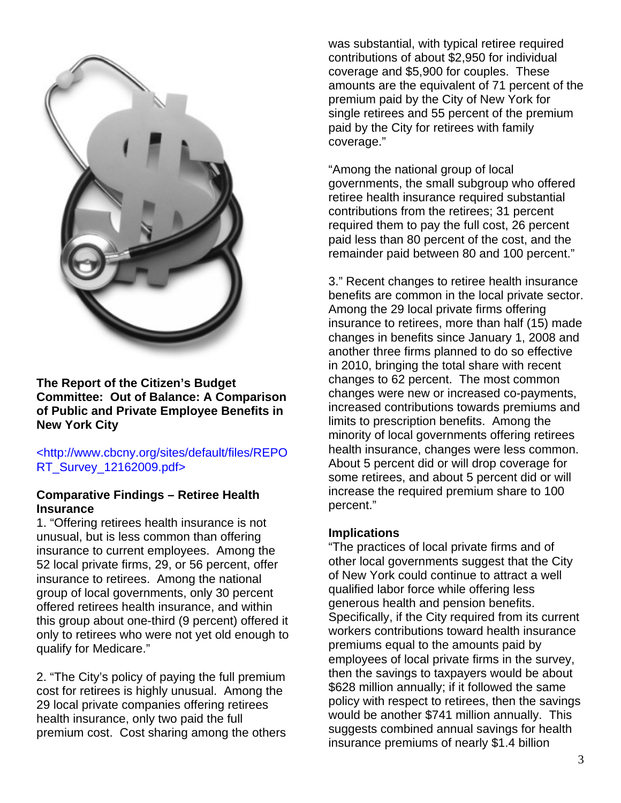

**The Report of the Citizen's Budget Committee: Out of Balance: A Comparison of Public and Private Employee Benefits in New York City** 

### <http://www.cbcny.org/sites/default/files/REPO RT\_Survey\_12162009.pdf>

### **Comparative Findings – Retiree Health Insurance**

1. "Offering retirees health insurance is not unusual, but is less common than offering insurance to current employees. Among the 52 local private firms, 29, or 56 percent, offer insurance to retirees. Among the national group of local governments, only 30 percent offered retirees health insurance, and within this group about one-third (9 percent) offered it only to retirees who were not yet old enough to qualify for Medicare."

2. "The City's policy of paying the full premium cost for retirees is highly unusual. Among the 29 local private companies offering retirees health insurance, only two paid the full premium cost. Cost sharing among the others was substantial, with typical retiree required contributions of about \$2,950 for individual coverage and \$5,900 for couples. These amounts are the equivalent of 71 percent of the premium paid by the City of New York for single retirees and 55 percent of the premium paid by the City for retirees with family coverage."

"Among the national group of local governments, the small subgroup who offered retiree health insurance required substantial contributions from the retirees; 31 percent required them to pay the full cost, 26 percent paid less than 80 percent of the cost, and the remainder paid between 80 and 100 percent."

3." Recent changes to retiree health insurance benefits are common in the local private sector. Among the 29 local private firms offering insurance to retirees, more than half (15) made changes in benefits since January 1, 2008 and another three firms planned to do so effective in 2010, bringing the total share with recent changes to 62 percent. The most common changes were new or increased co-payments, increased contributions towards premiums and limits to prescription benefits. Among the minority of local governments offering retirees health insurance, changes were less common. About 5 percent did or will drop coverage for some retirees, and about 5 percent did or will increase the required premium share to 100 percent."

### **Implications**

"The practices of local private firms and of other local governments suggest that the City of New York could continue to attract a well qualified labor force while offering less generous health and pension benefits. Specifically, if the City required from its current workers contributions toward health insurance premiums equal to the amounts paid by employees of local private firms in the survey, then the savings to taxpayers would be about \$628 million annually; if it followed the same policy with respect to retirees, then the savings would be another \$741 million annually. This suggests combined annual savings for health insurance premiums of nearly \$1.4 billion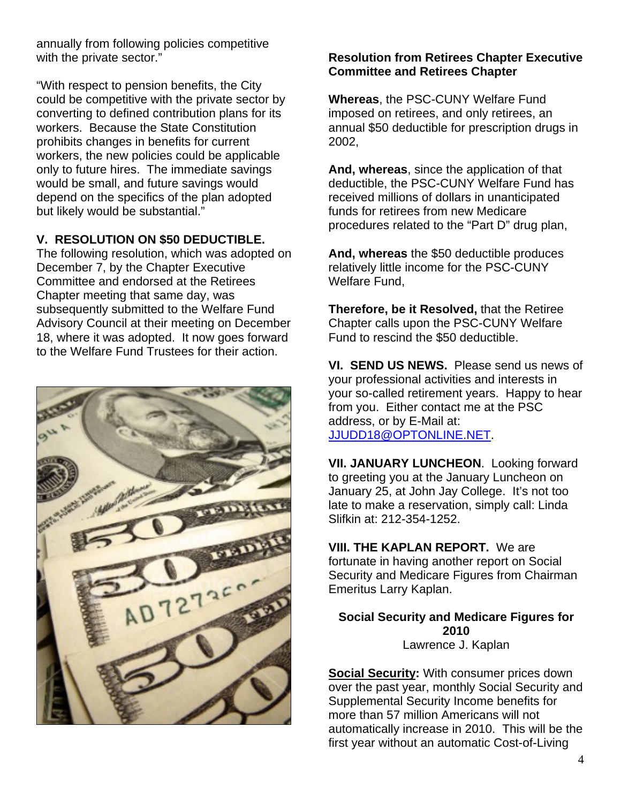annually from following policies competitive with the private sector."

"With respect to pension benefits, the City could be competitive with the private sector by converting to defined contribution plans for its workers. Because the State Constitution prohibits changes in benefits for current workers, the new policies could be applicable only to future hires. The immediate savings would be small, and future savings would depend on the specifics of the plan adopted but likely would be substantial."

## **V. RESOLUTION ON \$50 DEDUCTIBLE.**

The following resolution, which was adopted on December 7, by the Chapter Executive Committee and endorsed at the Retirees Chapter meeting that same day, was subsequently submitted to the Welfare Fund Advisory Council at their meeting on December 18, where it was adopted. It now goes forward to the Welfare Fund Trustees for their action.



# **Resolution from Retirees Chapter Executive Committee and Retirees Chapter**

**Whereas**, the PSC-CUNY Welfare Fund imposed on retirees, and only retirees, an annual \$50 deductible for prescription drugs in 2002,

**And, whereas**, since the application of that deductible, the PSC-CUNY Welfare Fund has received millions of dollars in unanticipated funds for retirees from new Medicare procedures related to the "Part D" drug plan,

**And, whereas** the \$50 deductible produces relatively little income for the PSC-CUNY Welfare Fund,

**Therefore, be it Resolved,** that the Retiree Chapter calls upon the PSC-CUNY Welfare Fund to rescind the \$50 deductible.

**VI. SEND US NEWS.** Please send us news of your professional activities and interests in your so-called retirement years. Happy to hear from you. Either contact me at the PSC address, or by E-Mail at: [JJUDD18@OPTONLINE.NET](mailto:JJUDD18@OPTONLINE.NET).

**VII. JANUARY LUNCHEON**. Looking forward to greeting you at the January Luncheon on January 25, at John Jay College. It's not too late to make a reservation, simply call: Linda Slifkin at: 212-354-1252.

**VIII. THE KAPLAN REPORT.** We are fortunate in having another report on Social Security and Medicare Figures from Chairman Emeritus Larry Kaplan.

**Social Security and Medicare Figures for 2010**  Lawrence J. Kaplan

**Social Security:** With consumer prices down over the past year, monthly Social Security and Supplemental Security Income benefits for more than 57 million Americans will not automatically increase in 2010. This will be the first year without an automatic Cost-of-Living